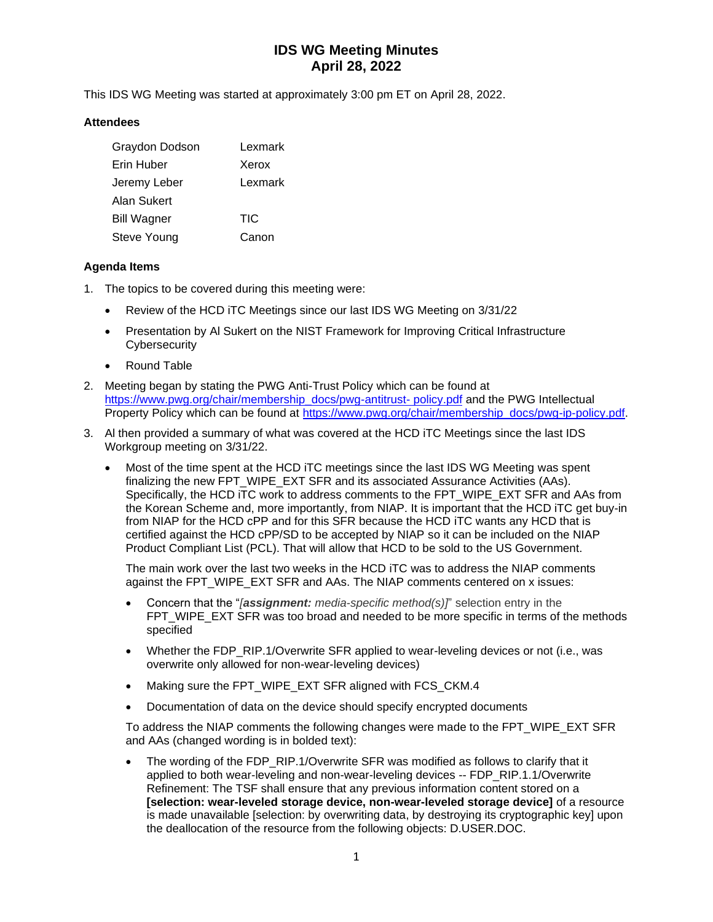This IDS WG Meeting was started at approximately 3:00 pm ET on April 28, 2022.

#### **Attendees**

| Graydon Dodson     | Lexmark |
|--------------------|---------|
| Erin Huber         | Xerox   |
| Jeremy Leber       | Lexmark |
| Alan Sukert        |         |
| <b>Bill Wagner</b> | TIC     |
| Steve Young        | Canon   |

#### **Agenda Items**

- 1. The topics to be covered during this meeting were:
	- Review of the HCD iTC Meetings since our last IDS WG Meeting on 3/31/22
	- Presentation by AI Sukert on the NIST Framework for Improving Critical Infrastructure **Cybersecurity**
	- Round Table
- 2. Meeting began by stating the PWG Anti-Trust Policy which can be found at [https://www.pwg.org/chair/membership\\_docs/pwg-antitrust-](https://www.pwg.org/chair/membership_docs/pwg-antitrust-%20policy.pdf) policy.pdf and the PWG Intellectual Property Policy which can be found at [https://www.pwg.org/chair/membership\\_docs/pwg-ip-policy.pdf.](https://www.pwg.org/chair/membership_docs/pwg-ip-policy.pdf)
- 3. Al then provided a summary of what was covered at the HCD iTC Meetings since the last IDS Workgroup meeting on 3/31/22.
	- Most of the time spent at the HCD iTC meetings since the last IDS WG Meeting was spent finalizing the new FPT\_WIPE\_EXT SFR and its associated Assurance Activities (AAs). Specifically, the HCD iTC work to address comments to the FPT\_WIPE\_EXT SFR and AAs from the Korean Scheme and, more importantly, from NIAP. It is important that the HCD iTC get buy-in from NIAP for the HCD cPP and for this SFR because the HCD iTC wants any HCD that is certified against the HCD cPP/SD to be accepted by NIAP so it can be included on the NIAP Product Compliant List (PCL). That will allow that HCD to be sold to the US Government.

The main work over the last two weeks in the HCD iTC was to address the NIAP comments against the FPT\_WIPE\_EXT SFR and AAs. The NIAP comments centered on x issues:

- Concern that the "*[assignment: media-specific method(s)]*" selection entry in the FPT\_WIPE\_EXT SFR was too broad and needed to be more specific in terms of the methods specified
- Whether the FDP\_RIP.1/Overwrite SFR applied to wear-leveling devices or not (i.e., was overwrite only allowed for non-wear-leveling devices)
- Making sure the FPT\_WIPE\_EXT SFR aligned with FCS\_CKM.4
- Documentation of data on the device should specify encrypted documents

To address the NIAP comments the following changes were made to the FPT\_WIPE\_EXT SFR and AAs (changed wording is in bolded text):

The wording of the FDP\_RIP.1/Overwrite SFR was modified as follows to clarify that it applied to both wear-leveling and non-wear-leveling devices -- FDP\_RIP.1.1/Overwrite Refinement: The TSF shall ensure that any previous information content stored on a **[selection: wear-leveled storage device, non-wear-leveled storage device]** of a resource is made unavailable [selection: by overwriting data, by destroying its cryptographic key] upon the deallocation of the resource from the following objects: D.USER.DOC.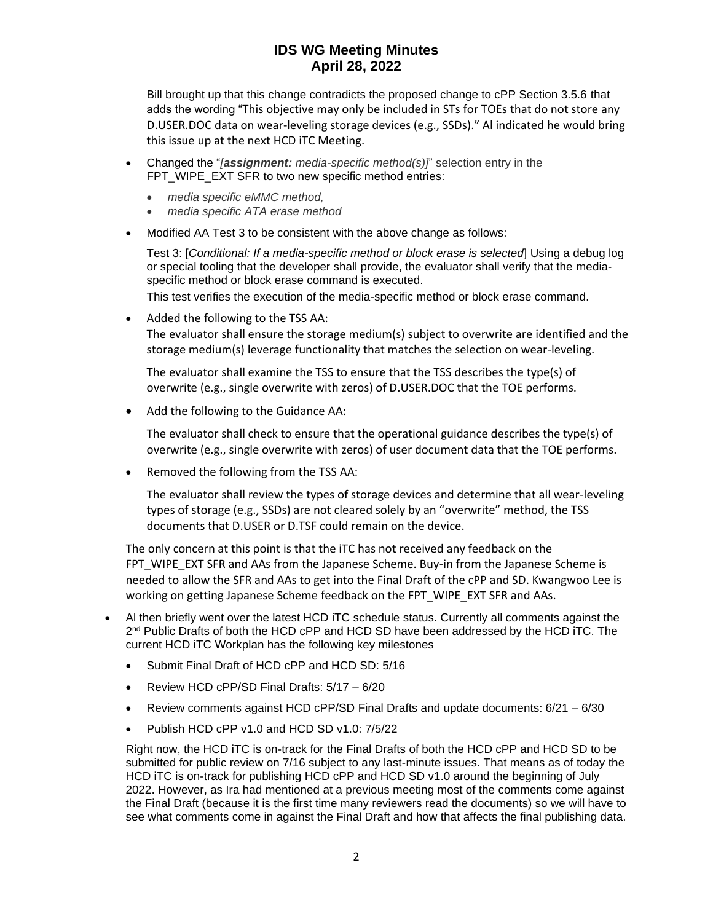Bill brought up that this change contradicts the proposed change to cPP Section 3.5.6 that adds the wording "This objective may only be included in STs for TOEs that do not store any D.USER.DOC data on wear-leveling storage devices (e.g., SSDs)." Al indicated he would bring this issue up at the next HCD iTC Meeting.

- Changed the "*[assignment: media-specific method(s)]*" selection entry in the FPT\_WIPE\_EXT SFR to two new specific method entries:
	- *media specific eMMC method,*
	- *media specific ATA erase method*
- Modified AA Test 3 to be consistent with the above change as follows:

Test 3: [*Conditional: If a media-specific method or block erase is selected*] Using a debug log or special tooling that the developer shall provide, the evaluator shall verify that the mediaspecific method or block erase command is executed.

This test verifies the execution of the media-specific method or block erase command.

• Added the following to the TSS AA:

The evaluator shall ensure the storage medium(s) subject to overwrite are identified and the storage medium(s) leverage functionality that matches the selection on wear-leveling.

The evaluator shall examine the TSS to ensure that the TSS describes the type(s) of overwrite (e.g., single overwrite with zeros) of D.USER.DOC that the TOE performs.

• Add the following to the Guidance AA:

The evaluator shall check to ensure that the operational guidance describes the type(s) of overwrite (e.g., single overwrite with zeros) of user document data that the TOE performs.

• Removed the following from the TSS AA:

The evaluator shall review the types of storage devices and determine that all wear-leveling types of storage (e.g., SSDs) are not cleared solely by an "overwrite" method, the TSS documents that D.USER or D.TSF could remain on the device.

The only concern at this point is that the iTC has not received any feedback on the FPT\_WIPE\_EXT SFR and AAs from the Japanese Scheme. Buy-in from the Japanese Scheme is needed to allow the SFR and AAs to get into the Final Draft of the cPP and SD. Kwangwoo Lee is working on getting Japanese Scheme feedback on the FPT\_WIPE\_EXT SFR and AAs.

- Al then briefly went over the latest HCD iTC schedule status. Currently all comments against the 2<sup>nd</sup> Public Drafts of both the HCD cPP and HCD SD have been addressed by the HCD iTC. The current HCD iTC Workplan has the following key milestones
	- Submit Final Draft of HCD cPP and HCD SD: 5/16
	- Review HCD cPP/SD Final Drafts: 5/17 6/20
	- Review comments against HCD cPP/SD Final Drafts and update documents: 6/21 6/30
	- Publish HCD cPP v1.0 and HCD SD v1.0: 7/5/22

Right now, the HCD iTC is on-track for the Final Drafts of both the HCD cPP and HCD SD to be submitted for public review on 7/16 subject to any last-minute issues. That means as of today the HCD iTC is on-track for publishing HCD cPP and HCD SD v1.0 around the beginning of July 2022. However, as Ira had mentioned at a previous meeting most of the comments come against the Final Draft (because it is the first time many reviewers read the documents) so we will have to see what comments come in against the Final Draft and how that affects the final publishing data.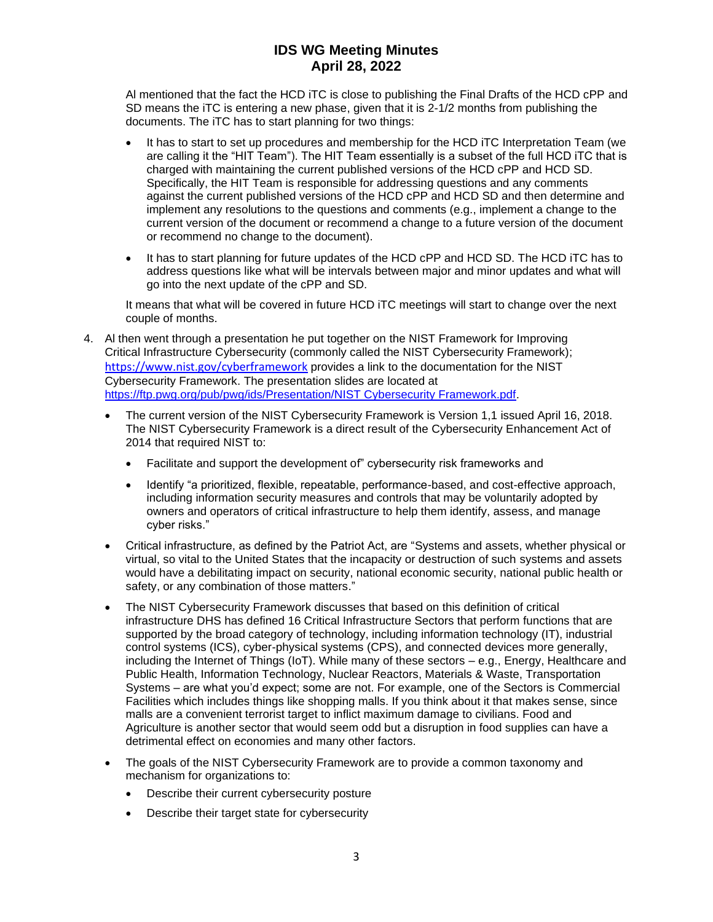Al mentioned that the fact the HCD iTC is close to publishing the Final Drafts of the HCD cPP and SD means the iTC is entering a new phase, given that it is 2-1/2 months from publishing the documents. The iTC has to start planning for two things:

- It has to start to set up procedures and membership for the HCD iTC Interpretation Team (we are calling it the "HIT Team"). The HIT Team essentially is a subset of the full HCD iTC that is charged with maintaining the current published versions of the HCD cPP and HCD SD. Specifically, the HIT Team is responsible for addressing questions and any comments against the current published versions of the HCD cPP and HCD SD and then determine and implement any resolutions to the questions and comments (e.g., implement a change to the current version of the document or recommend a change to a future version of the document or recommend no change to the document).
- It has to start planning for future updates of the HCD cPP and HCD SD. The HCD iTC has to address questions like what will be intervals between major and minor updates and what will go into the next update of the cPP and SD.

It means that what will be covered in future HCD iTC meetings will start to change over the next couple of months.

- 4. Al then went through a presentation he put together on the NIST Framework for Improving Critical Infrastructure Cybersecurity (commonly called the NIST Cybersecurity Framework); <https://www.nist.gov/cyberframework> provides a link to the documentation for the NIST Cybersecurity Framework. The presentation slides are located at [https://ftp.pwg.org/pub/pwg/ids/Presentation/NIST Cybersecurity Framework.pdf.](https://ftp.pwg.org/pub/pwg/ids/Presentation/NIST%20Cybersecurity%20Framework.pdf)
	- The current version of the NIST Cybersecurity Framework is Version 1,1 issued April 16, 2018. The NIST Cybersecurity Framework is a direct result of the Cybersecurity Enhancement Act of 2014 that required NIST to:
		- Facilitate and support the development of" cybersecurity risk frameworks and
		- Identify "a prioritized, flexible, repeatable, performance-based, and cost-effective approach, including information security measures and controls that may be voluntarily adopted by owners and operators of critical infrastructure to help them identify, assess, and manage cyber risks."
	- Critical infrastructure, as defined by the Patriot Act, are "Systems and assets, whether physical or virtual, so vital to the United States that the incapacity or destruction of such systems and assets would have a debilitating impact on security, national economic security, national public health or safety, or any combination of those matters."
	- The NIST Cybersecurity Framework discusses that based on this definition of critical infrastructure DHS has defined 16 Critical Infrastructure Sectors that perform functions that are supported by the broad category of technology, including information technology (IT), industrial control systems (ICS), cyber-physical systems (CPS), and connected devices more generally, including the Internet of Things (IoT). While many of these sectors – e.g., Energy, Healthcare and Public Health, Information Technology, Nuclear Reactors, Materials & Waste, Transportation Systems – are what you'd expect; some are not. For example, one of the Sectors is Commercial Facilities which includes things like shopping malls. If you think about it that makes sense, since malls are a convenient terrorist target to inflict maximum damage to civilians. Food and Agriculture is another sector that would seem odd but a disruption in food supplies can have a detrimental effect on economies and many other factors.
	- The goals of the NIST Cybersecurity Framework are to provide a common taxonomy and mechanism for organizations to:
		- Describe their current cybersecurity posture
		- Describe their target state for cybersecurity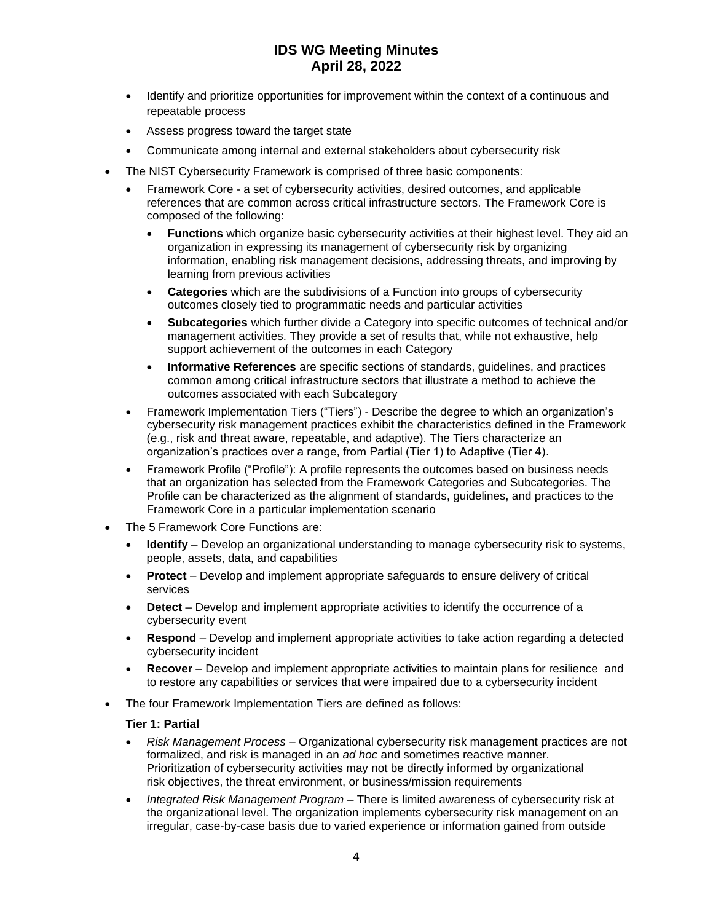- Identify and prioritize opportunities for improvement within the context of a continuous and repeatable process
- Assess progress toward the target state
- Communicate among internal and external stakeholders about cybersecurity risk
- The NIST Cybersecurity Framework is comprised of three basic components:
	- Framework Core a set of cybersecurity activities, desired outcomes, and applicable references that are common across critical infrastructure sectors. The Framework Core is composed of the following:
		- **Functions** which organize basic cybersecurity activities at their highest level. They aid an organization in expressing its management of cybersecurity risk by organizing information, enabling risk management decisions, addressing threats, and improving by learning from previous activities
		- **Categories** which are the subdivisions of a Function into groups of cybersecurity outcomes closely tied to programmatic needs and particular activities
		- **Subcategories** which further divide a Category into specific outcomes of technical and/or management activities. They provide a set of results that, while not exhaustive, help support achievement of the outcomes in each Category
		- **Informative References** are specific sections of standards, guidelines, and practices common among critical infrastructure sectors that illustrate a method to achieve the outcomes associated with each Subcategory
	- Framework Implementation Tiers ("Tiers") Describe the degree to which an organization's cybersecurity risk management practices exhibit the characteristics defined in the Framework (e.g., risk and threat aware, repeatable, and adaptive). The Tiers characterize an organization's practices over a range, from Partial (Tier 1) to Adaptive (Tier 4).
	- Framework Profile ("Profile"): A profile represents the outcomes based on business needs that an organization has selected from the Framework Categories and Subcategories. The Profile can be characterized as the alignment of standards, guidelines, and practices to the Framework Core in a particular implementation scenario
- The 5 Framework Core Functions are:
	- **Identify**  Develop an organizational understanding to manage cybersecurity risk to systems, people, assets, data, and capabilities
	- **Protect**  Develop and implement appropriate safeguards to ensure delivery of critical services
	- **Detect** Develop and implement appropriate activities to identify the occurrence of a cybersecurity event
	- **Respond**  Develop and implement appropriate activities to take action regarding a detected cybersecurity incident
	- **Recover** Develop and implement appropriate activities to maintain plans for resilience and to restore any capabilities or services that were impaired due to a cybersecurity incident
- The four Framework Implementation Tiers are defined as follows:

#### **Tier 1: Partial**

- *Risk Management Process*  Organizational cybersecurity risk management practices are not formalized, and risk is managed in an *ad hoc* and sometimes reactive manner. Prioritization of cybersecurity activities may not be directly informed by organizational risk objectives, the threat environment, or business/mission requirements
- *Integrated Risk Management Program*  There is limited awareness of cybersecurity risk at the organizational level. The organization implements cybersecurity risk management on an irregular, case-by-case basis due to varied experience or information gained from outside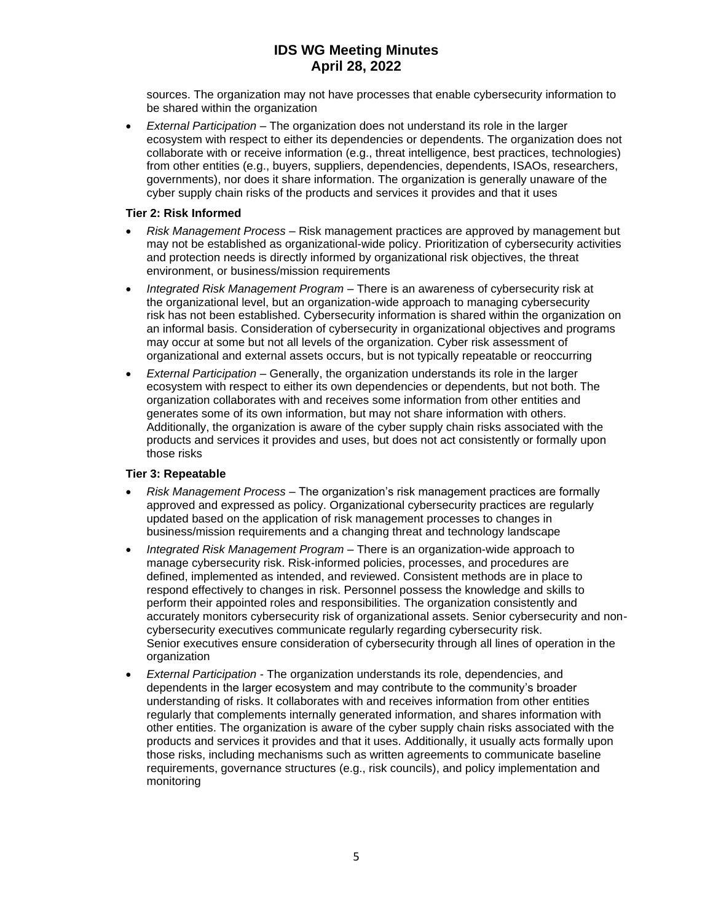sources. The organization may not have processes that enable cybersecurity information to be shared within the organization

• *External Participation* – The organization does not understand its role in the larger ecosystem with respect to either its dependencies or dependents. The organization does not collaborate with or receive information (e.g., threat intelligence, best practices, technologies) from other entities (e.g., buyers, suppliers, dependencies, dependents, ISAOs, researchers, governments), nor does it share information. The organization is generally unaware of the cyber supply chain risks of the products and services it provides and that it uses

#### **Tier 2: Risk Informed**

- *Risk Management Process*  Risk management practices are approved by management but may not be established as organizational-wide policy. Prioritization of cybersecurity activities and protection needs is directly informed by organizational risk objectives, the threat environment, or business/mission requirements
- *Integrated Risk Management Program*  There is an awareness of cybersecurity risk at the organizational level, but an organization-wide approach to managing cybersecurity risk has not been established. Cybersecurity information is shared within the organization on an informal basis. Consideration of cybersecurity in organizational objectives and programs may occur at some but not all levels of the organization. Cyber risk assessment of organizational and external assets occurs, but is not typically repeatable or reoccurring
- *External Participation*  Generally, the organization understands its role in the larger ecosystem with respect to either its own dependencies or dependents, but not both. The organization collaborates with and receives some information from other entities and generates some of its own information, but may not share information with others. Additionally, the organization is aware of the cyber supply chain risks associated with the products and services it provides and uses, but does not act consistently or formally upon those risks

#### **Tier 3: Repeatable**

- *Risk Management Process*  The organization's risk management practices are formally approved and expressed as policy. Organizational cybersecurity practices are regularly updated based on the application of risk management processes to changes in business/mission requirements and a changing threat and technology landscape
- *Integrated Risk Management Program*  There is an organization-wide approach to manage cybersecurity risk. Risk-informed policies, processes, and procedures are defined, implemented as intended, and reviewed. Consistent methods are in place to respond effectively to changes in risk. Personnel possess the knowledge and skills to perform their appointed roles and responsibilities. The organization consistently and accurately monitors cybersecurity risk of organizational assets. Senior cybersecurity and noncybersecurity executives communicate regularly regarding cybersecurity risk. Senior executives ensure consideration of cybersecurity through all lines of operation in the organization
- *External Participation*  The organization understands its role, dependencies, and dependents in the larger ecosystem and may contribute to the community's broader understanding of risks. It collaborates with and receives information from other entities regularly that complements internally generated information, and shares information with other entities. The organization is aware of the cyber supply chain risks associated with the products and services it provides and that it uses. Additionally, it usually acts formally upon those risks, including mechanisms such as written agreements to communicate baseline requirements, governance structures (e.g., risk councils), and policy implementation and monitoring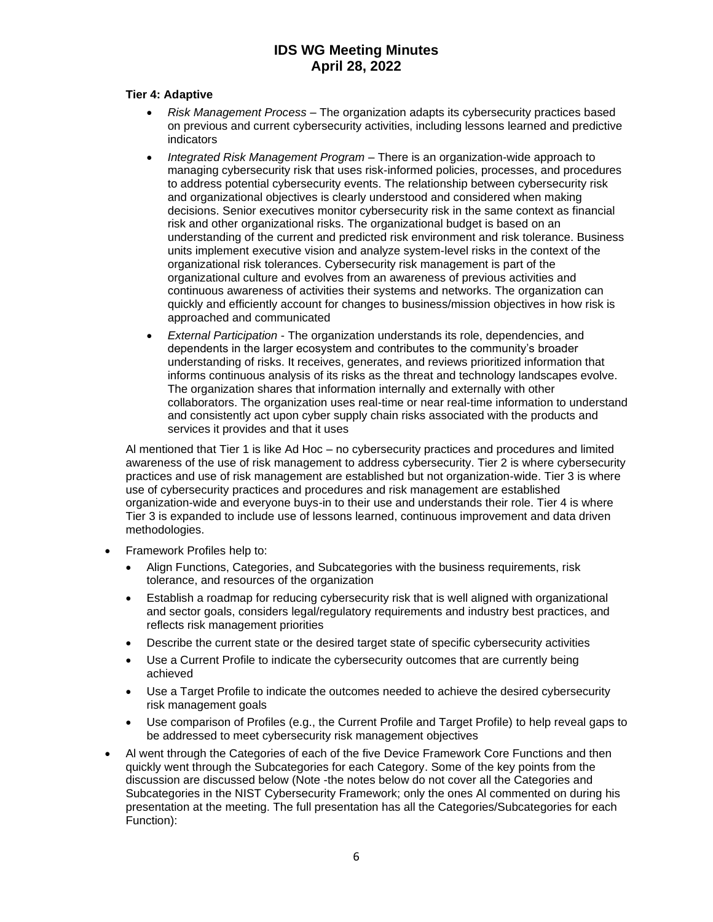#### **Tier 4: Adaptive**

- *Risk Management Process*  The organization adapts its cybersecurity practices based on previous and current cybersecurity activities, including lessons learned and predictive indicators
- *Integrated Risk Management Program*  There is an organization-wide approach to managing cybersecurity risk that uses risk-informed policies, processes, and procedures to address potential cybersecurity events. The relationship between cybersecurity risk and organizational objectives is clearly understood and considered when making decisions. Senior executives monitor cybersecurity risk in the same context as financial risk and other organizational risks. The organizational budget is based on an understanding of the current and predicted risk environment and risk tolerance. Business units implement executive vision and analyze system-level risks in the context of the organizational risk tolerances. Cybersecurity risk management is part of the organizational culture and evolves from an awareness of previous activities and continuous awareness of activities their systems and networks. The organization can quickly and efficiently account for changes to business/mission objectives in how risk is approached and communicated
- *External Participation*  The organization understands its role, dependencies, and dependents in the larger ecosystem and contributes to the community's broader understanding of risks. It receives, generates, and reviews prioritized information that informs continuous analysis of its risks as the threat and technology landscapes evolve. The organization shares that information internally and externally with other collaborators. The organization uses real-time or near real-time information to understand and consistently act upon cyber supply chain risks associated with the products and services it provides and that it uses

Al mentioned that Tier 1 is like Ad Hoc – no cybersecurity practices and procedures and limited awareness of the use of risk management to address cybersecurity. Tier 2 is where cybersecurity practices and use of risk management are established but not organization-wide. Tier 3 is where use of cybersecurity practices and procedures and risk management are established organization-wide and everyone buys-in to their use and understands their role. Tier 4 is where Tier 3 is expanded to include use of lessons learned, continuous improvement and data driven methodologies.

- Framework Profiles help to:
	- Align Functions, Categories, and Subcategories with the business requirements, risk tolerance, and resources of the organization
	- Establish a roadmap for reducing cybersecurity risk that is well aligned with organizational and sector goals, considers legal/regulatory requirements and industry best practices, and reflects risk management priorities
	- Describe the current state or the desired target state of specific cybersecurity activities
	- Use a Current Profile to indicate the cybersecurity outcomes that are currently being achieved
	- Use a Target Profile to indicate the outcomes needed to achieve the desired cybersecurity risk management goals
	- Use comparison of Profiles (e.g., the Current Profile and Target Profile) to help reveal gaps to be addressed to meet cybersecurity risk management objectives
- Al went through the Categories of each of the five Device Framework Core Functions and then quickly went through the Subcategories for each Category. Some of the key points from the discussion are discussed below (Note -the notes below do not cover all the Categories and Subcategories in the NIST Cybersecurity Framework; only the ones Al commented on during his presentation at the meeting. The full presentation has all the Categories/Subcategories for each Function):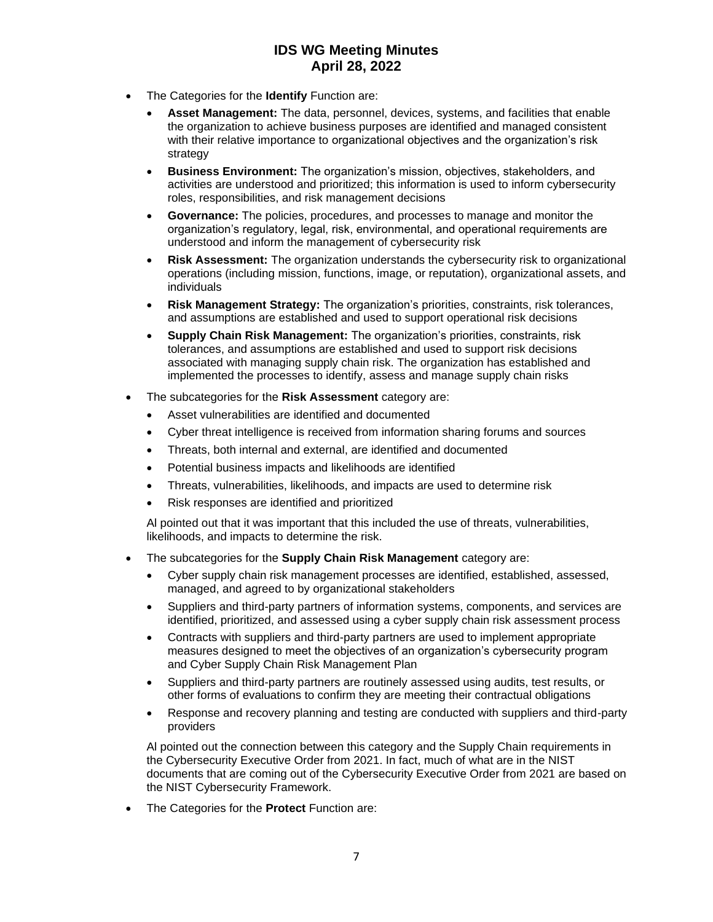- The Categories for the **Identify** Function are:
	- **Asset Management:** The data, personnel, devices, systems, and facilities that enable the organization to achieve business purposes are identified and managed consistent with their relative importance to organizational objectives and the organization's risk strategy
	- **Business Environment:** The organization's mission, objectives, stakeholders, and activities are understood and prioritized; this information is used to inform cybersecurity roles, responsibilities, and risk management decisions
	- **Governance:** The policies, procedures, and processes to manage and monitor the organization's regulatory, legal, risk, environmental, and operational requirements are understood and inform the management of cybersecurity risk
	- **Risk Assessment:** The organization understands the cybersecurity risk to organizational operations (including mission, functions, image, or reputation), organizational assets, and individuals
	- **Risk Management Strategy:** The organization's priorities, constraints, risk tolerances, and assumptions are established and used to support operational risk decisions
	- **Supply Chain Risk Management:** The organization's priorities, constraints, risk tolerances, and assumptions are established and used to support risk decisions associated with managing supply chain risk. The organization has established and implemented the processes to identify, assess and manage supply chain risks
- The subcategories for the **Risk Assessment** category are:
	- Asset vulnerabilities are identified and documented
	- Cyber threat intelligence is received from information sharing forums and sources
	- Threats, both internal and external, are identified and documented
	- Potential business impacts and likelihoods are identified
	- Threats, vulnerabilities, likelihoods, and impacts are used to determine risk
	- Risk responses are identified and prioritized

Al pointed out that it was important that this included the use of threats, vulnerabilities, likelihoods, and impacts to determine the risk.

- The subcategories for the **Supply Chain Risk Management** category are:
	- Cyber supply chain risk management processes are identified, established, assessed, managed, and agreed to by organizational stakeholders
	- Suppliers and third-party partners of information systems, components, and services are identified, prioritized, and assessed using a cyber supply chain risk assessment process
	- Contracts with suppliers and third-party partners are used to implement appropriate measures designed to meet the objectives of an organization's cybersecurity program and Cyber Supply Chain Risk Management Plan
	- Suppliers and third-party partners are routinely assessed using audits, test results, or other forms of evaluations to confirm they are meeting their contractual obligations
	- Response and recovery planning and testing are conducted with suppliers and third-party providers

Al pointed out the connection between this category and the Supply Chain requirements in the Cybersecurity Executive Order from 2021. In fact, much of what are in the NIST documents that are coming out of the Cybersecurity Executive Order from 2021 are based on the NIST Cybersecurity Framework.

• The Categories for the **Protect** Function are: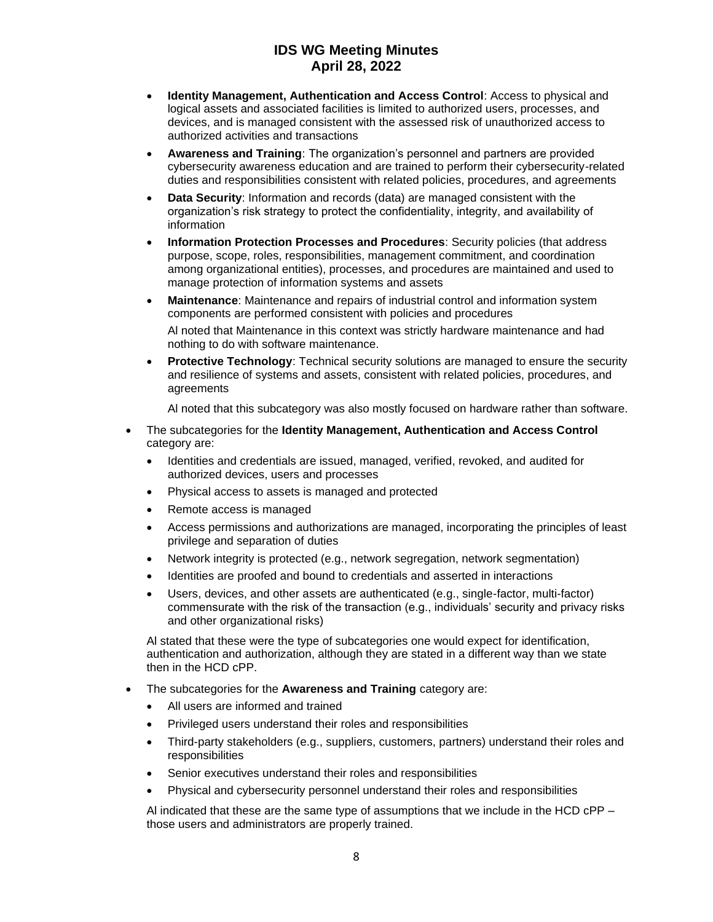- **Identity Management, Authentication and Access Control**: Access to physical and logical assets and associated facilities is limited to authorized users, processes, and devices, and is managed consistent with the assessed risk of unauthorized access to authorized activities and transactions
- **Awareness and Training**: The organization's personnel and partners are provided cybersecurity awareness education and are trained to perform their cybersecurity-related duties and responsibilities consistent with related policies, procedures, and agreements
- **Data Security**: Information and records (data) are managed consistent with the organization's risk strategy to protect the confidentiality, integrity, and availability of information
- **Information Protection Processes and Procedures**: Security policies (that address purpose, scope, roles, responsibilities, management commitment, and coordination among organizational entities), processes, and procedures are maintained and used to manage protection of information systems and assets
- **Maintenance**: Maintenance and repairs of industrial control and information system components are performed consistent with policies and procedures

Al noted that Maintenance in this context was strictly hardware maintenance and had nothing to do with software maintenance.

• **Protective Technology**: Technical security solutions are managed to ensure the security and resilience of systems and assets, consistent with related policies, procedures, and agreements

Al noted that this subcategory was also mostly focused on hardware rather than software.

- The subcategories for the **Identity Management, Authentication and Access Control** category are:
	- Identities and credentials are issued, managed, verified, revoked, and audited for authorized devices, users and processes
	- Physical access to assets is managed and protected
	- Remote access is managed
	- Access permissions and authorizations are managed, incorporating the principles of least privilege and separation of duties
	- Network integrity is protected (e.g., network segregation, network segmentation)
	- Identities are proofed and bound to credentials and asserted in interactions
	- Users, devices, and other assets are authenticated (e.g., single-factor, multi-factor) commensurate with the risk of the transaction (e.g., individuals' security and privacy risks and other organizational risks)

Al stated that these were the type of subcategories one would expect for identification, authentication and authorization, although they are stated in a different way than we state then in the HCD cPP.

- The subcategories for the **Awareness and Training** category are:
	- All users are informed and trained
	- Privileged users understand their roles and responsibilities
	- Third-party stakeholders (e.g., suppliers, customers, partners) understand their roles and responsibilities
	- Senior executives understand their roles and responsibilities
	- Physical and cybersecurity personnel understand their roles and responsibilities

Al indicated that these are the same type of assumptions that we include in the HCD cPP – those users and administrators are properly trained.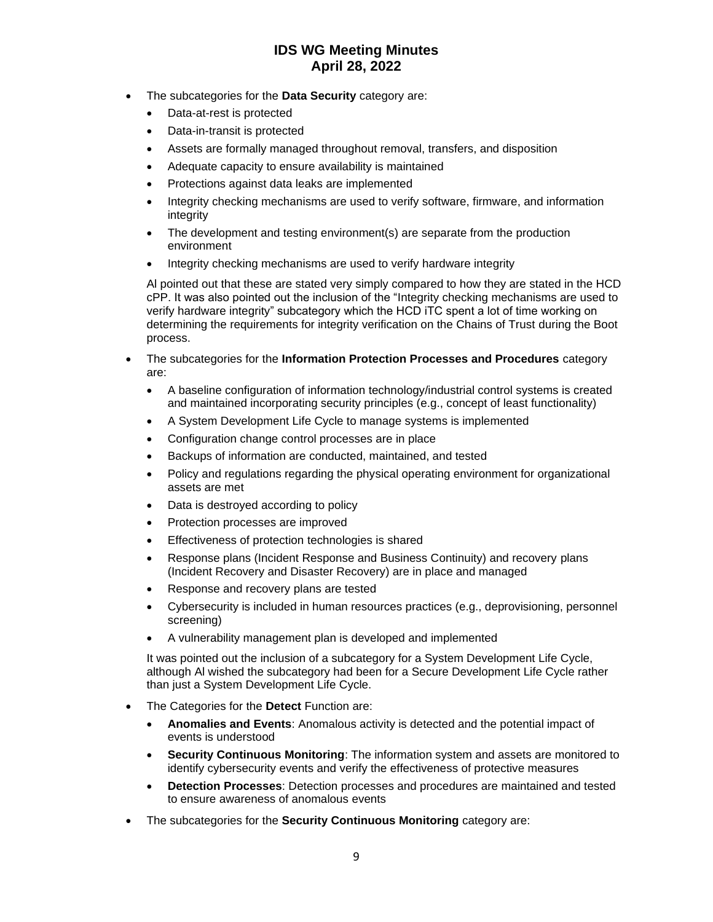- The subcategories for the **Data Security** category are:
	- Data-at-rest is protected
	- Data-in-transit is protected
	- Assets are formally managed throughout removal, transfers, and disposition
	- Adequate capacity to ensure availability is maintained
	- Protections against data leaks are implemented
	- Integrity checking mechanisms are used to verify software, firmware, and information integrity
	- The development and testing environment(s) are separate from the production environment
	- Integrity checking mechanisms are used to verify hardware integrity

Al pointed out that these are stated very simply compared to how they are stated in the HCD cPP. It was also pointed out the inclusion of the "Integrity checking mechanisms are used to verify hardware integrity" subcategory which the HCD iTC spent a lot of time working on determining the requirements for integrity verification on the Chains of Trust during the Boot process.

- The subcategories for the **Information Protection Processes and Procedures** category are:
	- A baseline configuration of information technology/industrial control systems is created and maintained incorporating security principles (e.g., concept of least functionality)
	- A System Development Life Cycle to manage systems is implemented
	- Configuration change control processes are in place
	- Backups of information are conducted, maintained, and tested
	- Policy and regulations regarding the physical operating environment for organizational assets are met
	- Data is destroyed according to policy
	- Protection processes are improved
	- Effectiveness of protection technologies is shared
	- Response plans (Incident Response and Business Continuity) and recovery plans (Incident Recovery and Disaster Recovery) are in place and managed
	- Response and recovery plans are tested
	- Cybersecurity is included in human resources practices (e.g., deprovisioning, personnel screening)
	- A vulnerability management plan is developed and implemented

It was pointed out the inclusion of a subcategory for a System Development Life Cycle, although Al wished the subcategory had been for a Secure Development Life Cycle rather than just a System Development Life Cycle.

- The Categories for the **Detect** Function are:
	- **Anomalies and Events**: Anomalous activity is detected and the potential impact of events is understood
	- **Security Continuous Monitoring**: The information system and assets are monitored to identify cybersecurity events and verify the effectiveness of protective measures
	- **Detection Processes**: Detection processes and procedures are maintained and tested to ensure awareness of anomalous events
- The subcategories for the **Security Continuous Monitoring** category are: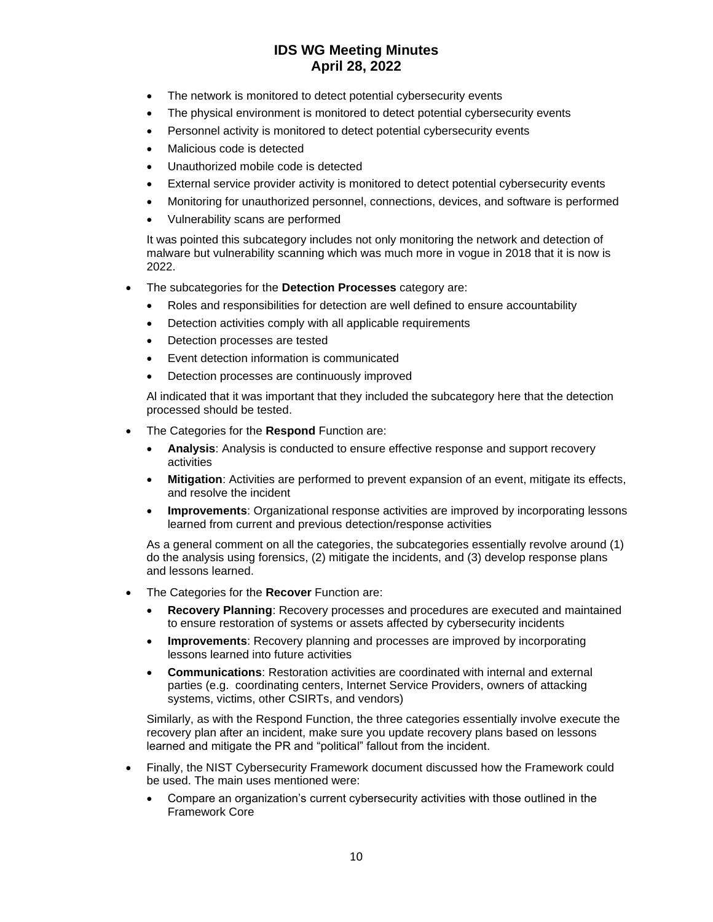- The network is monitored to detect potential cybersecurity events
- The physical environment is monitored to detect potential cybersecurity events
- Personnel activity is monitored to detect potential cybersecurity events
- Malicious code is detected
- Unauthorized mobile code is detected
- External service provider activity is monitored to detect potential cybersecurity events
- Monitoring for unauthorized personnel, connections, devices, and software is performed
- Vulnerability scans are performed

It was pointed this subcategory includes not only monitoring the network and detection of malware but vulnerability scanning which was much more in vogue in 2018 that it is now is 2022.

- The subcategories for the **Detection Processes** category are:
	- Roles and responsibilities for detection are well defined to ensure accountability
	- Detection activities comply with all applicable requirements
	- Detection processes are tested
	- Event detection information is communicated
	- Detection processes are continuously improved

Al indicated that it was important that they included the subcategory here that the detection processed should be tested.

- The Categories for the **Respond** Function are:
	- **Analysis**: Analysis is conducted to ensure effective response and support recovery activities
	- **Mitigation**: Activities are performed to prevent expansion of an event, mitigate its effects, and resolve the incident
	- **Improvements**: Organizational response activities are improved by incorporating lessons learned from current and previous detection/response activities

As a general comment on all the categories, the subcategories essentially revolve around (1) do the analysis using forensics, (2) mitigate the incidents, and (3) develop response plans and lessons learned.

- The Categories for the **Recover** Function are:
	- **Recovery Planning**: Recovery processes and procedures are executed and maintained to ensure restoration of systems or assets affected by cybersecurity incidents
	- **Improvements**: Recovery planning and processes are improved by incorporating lessons learned into future activities
	- **Communications**: Restoration activities are coordinated with internal and external parties (e.g. coordinating centers, Internet Service Providers, owners of attacking systems, victims, other CSIRTs, and vendors)

Similarly, as with the Respond Function, the three categories essentially involve execute the recovery plan after an incident, make sure you update recovery plans based on lessons learned and mitigate the PR and "political" fallout from the incident.

- Finally, the NIST Cybersecurity Framework document discussed how the Framework could be used. The main uses mentioned were:
	- Compare an organization's current cybersecurity activities with those outlined in the Framework Core